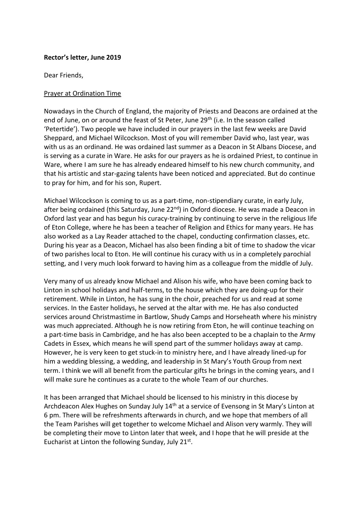## **Rector's letter, June 2019**

Dear Friends,

## Prayer at Ordination Time

Nowadays in the Church of England, the majority of Priests and Deacons are ordained at the end of June, on or around the feast of St Peter, June 29<sup>th</sup> (i.e. In the season called 'Petertide'). Two people we have included in our prayers in the last few weeks are David Sheppard, and Michael Wilcockson. Most of you will remember David who, last year, was with us as an ordinand. He was ordained last summer as a Deacon in St Albans Diocese, and is serving as a curate in Ware. He asks for our prayers as he is ordained Priest, to continue in Ware, where I am sure he has already endeared himself to his new church community, and that his artistic and star-gazing talents have been noticed and appreciated. But do continue to pray for him, and for his son, Rupert.

Michael Wilcockson is coming to us as a part-time, non-stipendiary curate, in early July, after being ordained (this Saturday, June 22<sup>nd</sup>) in Oxford diocese. He was made a Deacon in Oxford last year and has begun his curacy-training by continuing to serve in the religious life of Eton College, where he has been a teacher of Religion and Ethics for many years. He has also worked as a Lay Reader attached to the chapel, conducting confirmation classes, etc. During his year as a Deacon, Michael has also been finding a bit of time to shadow the vicar of two parishes local to Eton. He will continue his curacy with us in a completely parochial setting, and I very much look forward to having him as a colleague from the middle of July.

Very many of us already know Michael and Alison his wife, who have been coming back to Linton in school holidays and half-terms, to the house which they are doing-up for their retirement. While in Linton, he has sung in the choir, preached for us and read at some services. In the Easter holidays, he served at the altar with me. He has also conducted services around Christmastime in Bartlow, Shudy Camps and Horseheath where his ministry was much appreciated. Although he is now retiring from Eton, he will continue teaching on a part-time basis in Cambridge, and he has also been accepted to be a chaplain to the Army Cadets in Essex, which means he will spend part of the summer holidays away at camp. However, he is very keen to get stuck-in to ministry here, and I have already lined-up for him a wedding blessing, a wedding, and leadership in St Mary's Youth Group from next term. I think we will all benefit from the particular gifts he brings in the coming years, and I will make sure he continues as a curate to the whole Team of our churches.

It has been arranged that Michael should be licensed to his ministry in this diocese by Archdeacon Alex Hughes on Sunday July 14<sup>th</sup> at a service of Evensong in St Mary's Linton at 6 pm. There will be refreshments afterwards in church, and we hope that members of all the Team Parishes will get together to welcome Michael and Alison very warmly. They will be completing their move to Linton later that week, and I hope that he will preside at the Eucharist at Linton the following Sunday, July 21st.